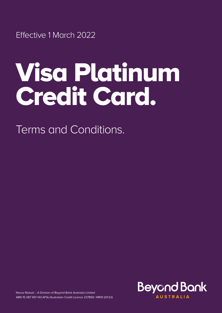Effective 1 March 2022

# Visa Platinum Credit Card.

Terms and Conditions.



Nexus Mutual – A Division of Beyond Bank Australia Limited ABN 15 087 651 143 AFSL/Australian Credit Licence 237856 | MR10 (01/22)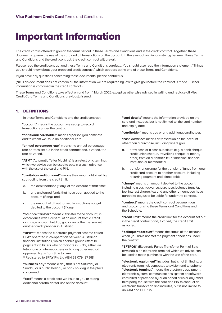# Important Information

The credit card is offered to you on the terms set out in these Terms and Conditions and in the credit contract. Together, these documents govern the use of the card and all transactions on the account. In the event of any inconsistency between these Terms and Conditions and the credit contract, the credit contract will prevail.

Please read the credit contract and these Terms and Conditions carefully. You should also read the information statement "Things you should know about your proposed credit contract" which appears at the end of these Terms and Conditions.

If you have any questions concerning these documents, please contact us.

(NB. This document does not contain all the information we are required by law to give you before the contract is made. Further information is contained in the credit contract.)

These Terms and Conditions take effect on and from 1 March 2022 except as otherwise advised in writing and replace all Visa Credit Card Terms and Conditions previously issued.

# 1. DEFINITIONS

In these Terms and Conditions and the credit contract:

**"account"** means the account we set up to record transactions under the contract.

**"additional cardholder"** means a person you nominate and to whom we issue an additional card.

**"annual percentage rate"** means the annual percentage rate or rates set out in the credit contract and, if varied, the rate as varied.

**"ATM" (**Automatic Teller Machine) is an electronic terminal which we advise can be used to obtain a cash advance with the use of the card and PIN.

**"available credit amount"** means the amount obtained by subtracting from the credit limit:

- a. the debit balance (if any) of the account at that time;
- b. any uncleared funds that have been applied to the account (if any); and
- c. the amount of all authorised transactions not yet debited to the account (if any).

**"balance transfer"** means a transfer to the account, in accordance with clause 11, of an amount from a credit or charge account held by you or any other person with another credit provider in Australia.

 **"BPAY®"** means the electronic payment scheme called BPAY operated in co-operation between Australian financial institutions, which enables you to effect bill payments to billers who participate in BPAY, either via telephone or internet access or by any other method approved by us from time to time.

® Registered to BPAY Pty Ltd ABN 69 079 137 518

**"business day"** means a day that is not Saturday or Sunday or a public holiday or bank holiday in the place concerned.

**"card"** means a credit card we issue to you or to any additional cardholder for use on the account.

**"card details"** means the information provided on the card and includes, but is not limited to, the card number and expiry date.

**"cardholder"** means you or any additional cardholder.

**"cash advance"** means a transaction on the account other than a purchase, including where you:

- a. draw cash or a cash substitute (e.g. a bank cheque, credit union cheque, traveller's cheque or money order) from an automatic teller machine, financial institution or merchant; or
- b. transfer or arrange for the transfer of funds from your credit card account to another account, including recurring payment and direct debit

**"charge"** means an amount debited to the account, including a cash advance, purchase, balance transfer, fee, interest charge, tax and any other amount you have agreed to pay us or be liable for under the contract.

**"contract"** means the credit contract between you and us, comprising these Terms and Conditions and the Schedule.

**"credit limit"** means the credit limit for the account set out in the credit contract and, if varied, the credit limit as varied.

**"delinquent account"** means the status of the account when you have not met the payment conditions under the contract.

**"EFTPOS"** (Electronic Funds Transfer at Point of Sale terminal) is an electronic terminal which we advise can be used to make purchases with the use of the card.

 **"electronic equipment"** includes, but is not limited to, an electronic terminal, computer, television and telephone. **"electronic terminal"** means the electronic equipment, electronic system, communications system or software controlled or provided by or on behalf of us or any other third party for use with the card and PIN to conduct an electronic transaction and includes, but is not limited to, an ATM and EFTPOS.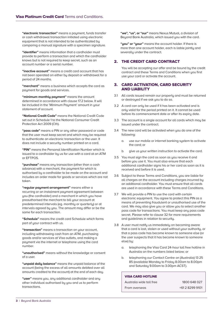**"electronic transaction"** means a payment, funds transfer or cash withdrawal transaction initiated using electronic equipment that is not intended to be authenticated by comparing a manual signature with a specimen signature.

**"identifier"** means information that a cardholder must provide to perform a transaction and which the cardholder knows but is not required to keep secret, such as an account number or a serial number.

**"inactive account"** means a credit card account that has not been operated on either by deposit or withdrawal for a period of 24 months.

**"merchant"** means a business which accepts the card as payment for goods and services.

**"minimum monthly payment"** means the amount determined in accordance with clause 17.2 below. It will be included in the 'Minimum Payment' amount in your statement of account.

**"National Credit Code"** means the National Credit Code set out in Schedule 1 to the National Consumer Credit Protection Act 2009 (Cth).

**"pass code"** means a PIN or any other password or code that the user must keep secret and which may be required to authenticate an electronic transaction or the user. It does not include a security number printed on a card.

**"PIN"** means the Personal Identification Number which is issued to a cardholder by us for use with a card at an ATM or EFTPOS.

**"purchase"** means any transaction (other than a cash advance) with a merchant, the payment for which is authorised by a cardholder to be made on the account and includes an order made for goods or services which are not taken.

**"regular payment arrangement"** means either a recurring or an instalment payment agreement between you (the cardholder) and a merchant in which you have preauthorised the merchant to bill your account at predetermined intervals (eg. monthly or quarterly) or at intervals agreed by you. The amount may differ or be the same for each transaction.

**"Schedule"** means the credit card Schedule which forms part of your contract with us.

**"transaction"** means a transaction on your account, including withdrawing cash from an ATM, purchasing goods and/or services at Visa outlets, and making a payment via the internet or telephone using the card number.

**"unauthorised"** means without the knowledge or consent of a user.

**"unpaid daily balance"** means the unpaid balance of the account (being the excess of all amounts debited over all amounts credited to the account) at the end of each day.

**"user"** means you, any additional cardholder and any other individual authorised by you and us to perform transactions.

**"we", "us", or "our"** means Nexus Mutual, a division of Beyond Bank Australia, which issued you with the card.

**"you" or "your"** means the account holder. If there is more than one account holder, each is liable jointly and severally under the contract.

# 2. THE CREDIT CARD CONTRACT

 You will be accepting our offer and be bound by the credit contract and these Terms and Conditions when you first use your card or activate the account.

# 3. CARD ACTIVATION, CARD SECURITY AND LIABILITY

- 3.1 All cards issued remain our property and must be returned or destroyed if we ask you to do so.
- 3.2 A card can only be used if it has been activated and is only valid for the period printed on it. It cannot be used before its commencement date or after its expiry date.
- 3.3 The account is a single account for all cards which may be issued under the contract.
- 3.4 The new card will be activated when you do one of the following:
	- a. use our mobile or internet banking system to activate the card; or
	- b. give us your written instruction to activate the card.
- 3.5 You must sign the card as soon as you receive it and before you use it. You must also ensure that each additional cardholder signs his or her card as soon as it is received and before it is used.
- 3.6 Subject to these Terms and Conditions, you are liable for all charges on the account including charges incurred by an additional cardholder. You must ensure that all cards are used in accordance with these Terms and Conditions.
- 3.7 We will provide a PIN to use the card with certain electronic equipment. You agree to protect this PIN as a means of preventing fraudulent or unauthorised use of the card. We may also give you or allow you to select another pass code for transactions. You must keep any pass code secret. Please refer to clause 32 for more requirements and guidelines in relation to security.
- 3.8 A user must notify us immediately on becoming aware that a card is lost, stolen or used without your authority, or that a pass code has become known to someone else (or the user suspects that it has become known to someone else) by:
	- a. telephoning the Visa Card 24-hour toll free hotline in Australia on the numbers listed below; or
	- b. telephoning our Contact Centre on (Australia) 13 25 85 (available Monday to Friday 8.00am to 8.00pm and Saturday 9.00am to 3.00pm ACST).

#### VISA CARD HOTLINE

| Australia wide toll free | 1800 648 027    |
|--------------------------|-----------------|
| From oversegs            | +61 2 8299 9101 |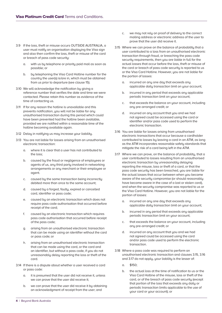- 3.9 If the loss, theft or misuse occurs OUTSIDE AUSTRALIA, a user must notify an organisation displaying the Visa sign and also then confirm the loss, theft or misuse of the card or breach of pass code security:
	- a. with us by telephone or priority paid mail as soon as possible; or
	- b. by telephoning the Visa Card Hotline number for the country the user(s) is/are in, which must be obtained from us prior to departure (see clause 15).
- 3.10 We will acknowledge the notification by giving a reference number that verifies the date and time we were contacted. Please retain this number as evidence of the time of contacting us.
- 3.11 If for any reason the hotline is unavailable and this prevents notification, you will not be liable for any unauthorised transaction during this period which could have been prevented had the hotline been available, provided we are notified within a reasonable time of the hotline becoming available again.
- 3.12 Delay in notifying us may increase your liability.
- 3.13 You are not liable for losses arising from an unauthorised electronic transaction:
	- a. where it is clear that a user has not contributed to the loss;
	- b. caused by the fraud or negligence of employees or agents of us, any third party involved in networking arrangements or any merchant or their employee or agent.
	- c. caused by the same transaction being incorrectly debited more than once to the same account;
	- d. caused by a forged, faulty, expired or cancelled card, identifier or pass code;
	- e. caused by an electronic transaction which does not require pass code authorisation that occurred before receipt of the card;
	- f. caused by an electronic transaction which requires pass code authorisation that occurred before receipt of the pass code;
	- g. arising from an unauthorised electronic transaction that can be made using an identifier without the card or pass code; or
	- h. arising from an unauthorised electronic transaction that can be made using the card, or the card and an identifier, but without a pass code, if you do not unreasonably delay reporting the loss or theft of the card.
- 3.14 If there is a dispute about whether a user received a card or pass code:
	- a. it is presumed that the user did not receive it, unless we can prove that the user did receive it;
	- b. we can prove that the user did receive it by obtaining an acknowledgment of receipt from the user; and
- c. we may not rely on proof of delivery to the correct mailing address or electronic address of the user to prove that the user did receive it.
- 3.15 Where we can prove on the balance of probability that a user contributed to a loss from an unauthorised electronic transaction through fraud, or breaching the pass code security requirements, then you are liable in full for the actual losses that occur before the loss, theft or misuse of the card or breach of pass code securitu is reported to us or the Visa Card Hotline. However, you are not liable for the portion of losses:
	- a. incurred on any one day that exceeds any applicable daily transaction limit on your account;
	- b. incurred in any period that exceeds any applicable periodic transaction limit on your account;
	- c. that exceeds the balance on your account, including any pre-arranged credit; or
	- d. incurred on any account that you and we had not agreed could be accessed using the card or identifier and/or pass code used to perform the electronic transaction.
- 3.16 You are liable for losses arising from unauthorised electronic transactions that occur because a cardholder contributed to losses by leaving a card in an ATM, as long as the ATM incorporates reasonable safety standards that mitigate the risk of a card being left in the ATM.
- 3.17 Where we can prove, on the balance of probability, that a user contributed to losses resulting from an unauthorised electronic transaction by unreasonably delaying reporting the misuse, loss or theft of a card, or that the pass code security has been breached, you are liable for the actual losses that occur between when you became aware of the security compromise (or should reasonably have become aware in the case of a lost or stolen card), and when the security compromise was reported to us or the Visa Card Hotline. However, you are not liable for the portion of losses:
	- a. incurred on any one day that exceeds any applicable daily transaction limit on your account;
	- b. incurred in any period that exceeds any applicable periodic transaction limit on your account;
	- c. that exceeds the balance on your account, including any pre-arranged credit; or
	- d. incurred on any account that you and we had not agreed could be accessed using the card and/or pass code used to perform the electronic transaction.
- 3.18 Where a pass code was required to perform an unauthorised electronic transaction and clauses 3.15, 3.16 and 3.17 do not apply, your liability is the lesser of:
	- a. \$150;
	- b. the actual loss at the time of notification to us or the Visa Card Hotline of the misuse, loss or theft of the card, or of the breach of pass code security (except that portion of the loss that exceeds any daily or periodic transaction limits applicable to the use of your card or your account); or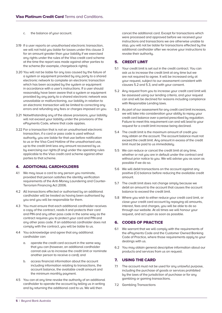- c. the balance of your account.
- 3.19 If a user reports an unauthorised electronic transaction, we will not hold you liable for losses under this clause 3 for an amount greater than your liability if we exercised any rights under the rules of the Visa credit card scheme at the time the report was made against other parties to the scheme (for example, chargeback rights).
- 3.20 You will not be liable for any loss caused by the failure of a system or equipment provided by any party to a shared electronic network to complete an electronic transaction which has been accepted by the system or equipment in accordance with a user's instructions. If a user should reasonably have been aware that a system or equipment provided by any party to a shared electronic network was unavailable or malfunctioning, our liability in relation to an electronic transaction will be limited to correcting any errors and refunding any fees or charges imposed on you.
- 3.21 Notwithstanding any of the above provisions, your liability will not exceed your liability under the provisions of the ePayments Code, where that code applies.
- 3.22 For a transaction that is not an unauthorised electronic transaction, if a card or pass code is used without authority, you are liable for that use before notification to us or the Visa Card Hotline of the unauthorised use, up to the credit limit less any amount recovered by us by exercising our rights (if any) under the operating rules applicable to the Visa credit card scheme against other parties to that scheme.

# 4. ADDITIONAL CARDHOLDERS

- 4.1 We may issue a card to any person you nominate, provided that person satisfies the identity verification requirements of the Anti-Money Laundering and Counter-Terrorism Financing Act 2006.
- 4.2 All transactions effected or authorised by an additional cardholder will be treated as having been authorised by you and you will be responsible for them.
- 4.3 You must ensure that each additional cardholder receives a copy of the contract, reads it and protects their card and PIN and any other pass code in the same way as the contract requires you to protect your card and PIN and any other pass code. If an additional cardholder does not comply with the contract, you will be liable to us.
- 4.4 You acknowledge and agree that any additional cardholder can:
	- a. operate the credit card account in the same way that you can (however, an additional cardholder cannot ask us to increase the credit limit or nominate another person to receive a card); and
	- b. access financial information about the account including information relating to transactions, the account balance, the available credit amount and the minimum monthly payment.
- 4.5 You can at any time revoke the authority of an additional cardholder to operate the account by telling us in writing and by returning the additional card to us. We will then

cancel the additional card. Except for transactions which were processed and approved before we received your instructions and transactions we are otherwise unable to stop, you will not be liable for transactions effected by the additional cardholder after we receive your instructions to revoke their authority.

# 5. CREDIT LIMIT

- 5.1 Your credit limit is set out in the credit contract. You can ask us to increase the credit limit at any time but we are not required to agree. It will be increased only at your request, subject to our assessment consistent with clauses 5.2 and 5.3, and with your consent.
- 5.2 Any request from you to increase your credit card limit will be assessed using our lending criteria, and your request can and will be declined for reasons including compliance with Responsible Lending laws.
- 5.3 As part of our assessment for any credit card limit increases, we will take into consideration your ability to repay your credit card balance over a period prescribed by regulation. Failure to meet this requirement can and will lead to your request for a credit limit increase being declined.
- 5.4 The credit limit is the maximum amount of credit you may obtain on the account. The account balance must not exceed the credit limit. Any amount in excess of the credit limit must be paid to us immediately.
- 5.5 We can reduce or cancel the credit limit at any time, whether or not you are in default under the contract and without prior notice to you. We will advise you as soon as possible if we do so.
- 5.6 We will debit transactions on the account against any positive (Cr) balance before reducing the available credit amount.
- 5.7 The credit limit does not change simply because we debit an amount to the account that causes the account balance to exceed the credit limit.
- 5.8 Where you wish to either reduce your credit card limit, or close your credit card account by repaying all amounts, interest, fees and charges, you will be able to do so through our website. At all times we will honour your request, and act upon as soon as possible.

# 6. CODES OF PRACTICE

- 6.1 We warrant that we will comply with the requirements of the ePayments Code and the Customer Owned Banking Code of Practice, where those requirements apply to your dealings with us.
- 6.2 You may obtain general descriptive information about our products and services from us on request.

# 7. USING THE CARD

- 7.1 The account must not be used for any unlawful purpose, including the purchase of goods or services prohibited by the laws of the jurisdiction of purchase or for any gambling or gaming transactions.
- 7.2 Gambling Transactions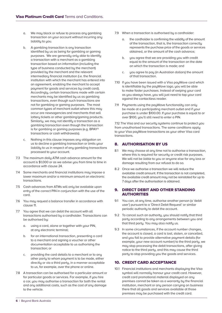- a. We may block or refuse to process any gambling transaction on your account without incurring any liability to you.
- b. A gambling transaction is any transaction identified by us as being for gambling or gaming purposes. We are generally only able to identify a transaction with a merchant as a gambling transaction based on information (including the tupe of business conducted by the merchant) provided by the merchant and the relevant intermediary financial institution (i.e. the financial institution with which the merchant has entered into an agreement, enabling the merchant to accept payment for goods and services by credit card). Accordingly, certain transactions made with certain merchants may be identified by us as gambling transactions, even though such transactions are not for gambling or gaming purposes. The most common types of merchant outlet where this may occur are newsagencies and merchants that sell lottery tickets or other gambling/gaming products. Similarly, we may not identify a transaction as a gambling transaction even though the transaction is for gambling or gaming purposes (e.g. BPAY® transactions or cash withdrawals).
- c. Nothing in this clause imposes any obligation on us to decline a gambling transaction or limits your liability to us in respect of any gambling transactions processed to your account.
- 7.3 The maximum daily ATM cash advance amount for the account is \$1,000 or as we advise you from time to time in accordance with clause 24.
- 7.4 Some merchants and financial institutions may impose a lower maximum and/or a minimum amount on electronic transactions.
- 7.5 Cash advances from ATMs will only be available upon entry of the correct PIN in conjunction with the use of the card.
- 7.6 You may request a balance transfer in accordance with clause 11.
- 7.7 You agree that we can debit the account with all transactions authorised by a cardholder. Transactions can be authorised by:
	- a. using a card, alone or together with your PIN, at any electronic terminal;
	- b. for an international transaction, presenting a card to a merchant and signing a voucher or other documentation acceptable to us authorising the transaction; or
	- c. providing the card details to a merchant or to any other party to whom payment is to be made, either directly or via a third party, in a manner acceptable to us, for example, over the phone or online.
- 7.8 A transaction can be authorised for a particular amount or for particular goods or services. For example, if you hire a car, you may authorise a transaction for both the rental and any additional costs, such as the cost of any damage to the vehicle.
- 7.9 When a transaction is authorised by a cardholder:
	- a. the cardholder is confirming the validity of the amount of the transaction, that is, the transaction correctly represents the purchase price of the goods or services obtained, or the amount of the cash advance;
	- b. you agree that we are providing you with credit equal to the amount of the transaction on the date on which the transaction is made; and
	- c. you agree to pay (in Australian dollars) the amount of that transaction.
- 7.10 If you have been issued with a Visa payWave card which is identifiable by the payWave logo, you will be able to make faster purchases. Instead of swiping your card as you always have, you will just need to tap your card against the contactless reader.
- 7.11 Payments using the payWave functionality can only be made at a participating merchant outlet and if your purchase is under \$100.00. If your purchase is equal to or over \$100, you'll still need to enter a PIN.

7.12 The Visa and our security systems continue to protect you from unauthorised transactions. The same conditions apply to your Visa payWave transactions as your other Visa card transactions.

# 8. AUTHORISATION BY US

- 8.1 We may choose at any time not to authorise a transaction, where this is required for security or credit risk purposes. We will not be liable to you or anyone else for any loss or damage resulting from our refusal to do so.
- 8.2 Once we authorise a transaction we will reduce the available credit amount. If the transaction is not completed, the available credit amount may not be reinstated for up to 7 days after the authorisation is obtained.

# 9. DIRECT DEBIT AND OTHER STANDING **AUTHORITIES**

- 9.1 You can, at any time, authorise another person (a 'debit user') pursuant to a 'Direct Debit Request' or similar periodic authority to debit the account.
- 9.2 To cancel such an authority, you should notify that third party according to any arrangements between you and that third party. You may also notify us.
- 9.3 In some circumstances, if the account number changes, the account is closed, a card is lost, stolen, or cancelled, and you fail to provide alternative payment details (for example, your new account number) to the third party, we may stop processing the debit transactions, after giving notice to the third party, and this may cause the third party to stop providing you the goods and services.

# 10. CREDIT CARD ACCEPTANCE

10.1 Financial institutions and merchants displaying the Visa symbol will normally honour your credit card. However, credit card promotional material displayed on any premises cannot be taken as a warranty by the financial institution, merchant or any person carrying on business there that all goods and services available at those premises may be purchased with the credit card.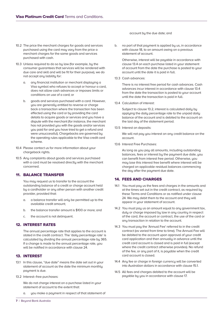- 10.2 The price the merchant charges for goods and services purchased using the card may vary from the price a merchant charges for the same goods and services purchased with cash.
- 10.3 Unless required to do so by law (for example, by the consumer guarantees that services will be rendered with due care and skill and will be fit for their purpose), we do not accept any liability for:
	- a. any financial institution or merchant displaying a Visa symbol who refuses to accept or honour a card, does not allow cash advances or imposes limits or conditions on use of a card; or
	- b. goods and services purchased with a card. However, you are generally entitled to reverse or charge back a transaction where the transaction has been effected using the card or by providing the card details to acquire goods or services and you have a dispute with the merchant (for instance, the merchant has not provided you with the goods and/or services you paid for and you have tried to get a refund and were unsuccessful). Chargebacks are governed by the operating rules applicable to the Visa credit card scheme.
- 10.4 Please contact us for more information about your chargeback rights.
- 10.5 Any complaints about goods and services purchased with a card must be resolved directly with the merchant concerned.

# 11. BALANCE TRANSFER

 You may request us to transfer to the account the outstanding balance of a credit or charge account held by a cardholder or any other person with another credit provider, provided that:

- a. a balance transfer will only be permitted up to the available credit amount;
- b. the balance transfer amount is \$100 or more; and
- c. the account is not delinquent.

# 12. INTEREST RATES

 The annual percentage rate that applies to the account is stated in the credit contract. The 'daily percentage rate' is calculated by dividing the annual percentage rate by 365. If a change is made to the annual percentage rate, you will be notified in accordance with clause 24.

# 13. INTEREST

- 13.1 In this clause, "due date" means the date set out in your statement of account as the date the minimum monthly payment is due.
- 13.2 Interest–free purchases:

We do not charge interest on a purchase listed in your statement of account to the extent that:

a. uou make a payment in respect of that statement of

#### account by the due date; and

b. no part of that payment is applied by us, in accordance with clause 18, to an amount owing on a previous statement of account.

 Otherwise, interest will be payable in accordance with clause 13.4 on each purchase listed in your statement of account from the date the purchase is posted to your account until the date it is paid in full.

13.3 Cash advances:

 There is no interest free period for cash advances. Cash advances incur interest in accordance with clause 13.4 from the date the transaction is posted to your account until the date the transaction is paid in full.

13.4 Calculation of interest:

 Subject to clause 13.2, interest is calculated daily by applying the daily percentage rate to the unpaid daily balance of the account and is debited to the account on the last day of the statement period.

13.5 Interest on deposits:

We will not pay you interest on any credit balance on the account.

13.6 Interest Free Purchases:

 As long as you pay all amounts, including outstanding balances, fees or interest by the payment due date, you can benefit from interest free period. Otherwise, you may lose this interest free benefit where interest will be charged on applicable residual balances commencing the day after the payment due date.

# 14. FEES AND CHARGES

- 14.1 You must pay us the fees and charaes in the amounts and at the times set out in the credit contract, as required by these Terms and Conditions or as notified under clause 24. We may debit them to the account and they will appear in your statement of account.
- 14.2 You must pay us an amount equal to any government tax, duty or charge imposed by law in any country in respect of the card, the account or contract, the use of the card or any transaction in relation to the account.
- 14.3 You must pay the 'Annual Fee' referred to in the credit contract (as varied from time to time). The Annual Fee will be debited to the account upon approval of your credit card application and then annually in advance until the credit card account is closed and is paid in full (except where the credit contract otherwise provides). No refund of the fee, or any part of it, is payable when the credit card account is closed.
- 14.4 Any fee or charge in foreign currency will be converted into Australian dollars in accordance with clause 15.1.
- 14.5 All fees and charges debited to the account will be payable by you in accordance with clause 17.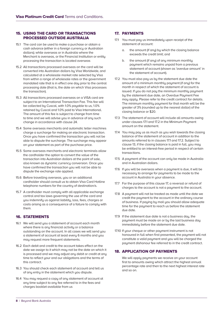# 15. USING THE CARD OR TRANSACTIONS PROCESSED OUTSIDE AUSTRALIA

- 15.1 The card can be used to make a purchase or obtain a cash advance (either in a foreign currency or Australian dollars); while overseas or in Australia where the Merchant is overseas, or the Financial Institution or entity processing the transaction is located overseas
- 15.2 All transactions processed overseas on the card will be converted into Australian dollars by Visa Worldwide, and calculated at a wholesale market rate selected by Visa from within a range of wholesale rates or the government mandated rate that is in effect one day prior to the central processing date (that is, the date on which Visa processes the transaction).
- 15.3 All transactions processed overseas on a VISA card are subject to an International Transaction Fee. This fee will be collected by Cuscal, with 1.0% payable to us, 1.0% retained by Cuscal and 1.0% paid to Visa International. The amount of this fee is subject to change from time to time and we will advise you in advance of any such change in accordance with clause 24.
- 15.4 Some overseas merchants and automatic teller machines charge a surcharge for making an electronic transaction. Once you have confirmed the transaction you will not be able to dispute the surcharge. The surcharge may appear on your statement as part of the purchase price.
- 15.5 Some overseas merchants and electronic terminals allow the cardholder the option to convert the value of the transaction into Australian dollars at the point of sale, also known as dynamic currency conversion. Once you have confirmed the transaction you will not be able to dispute the exchange rate applied.
- 15.6 Before travelling overseas, you or an additional cardholder should consult us to obtain Visa Card Hotline telephone numbers for the country of destination/s.
- 15.7 A cardholder must comply with all applicable exchange control and tax laws governing the use of the card and you indemnify us against liability, loss, fees, charges or costs arising as a consequence of a failure to comply with them.

# 16. STATEMENTS

- 16.1 We will send you a statement of account each month where there is any financial activity or a balance outstanding on the account. In all cases we will send you a statement of account at least every 6 months and you may request more frequent statements.
- 16.2 Each debit and credit to the account takes effect on the date we assign to it which may not be the date on which it is processed and we may adjust any debit or credit at any time to reflect your and our obligations and the terms of this contract.
- 16.3 You should check each statement of account and tell us of any entry in the statement which you dispute.
- 16.4 You may request a copy of any statement of account at any time subject to any fee referred to in the fees and charges booklet available from us

# 17. PAYMENTS

- 17.1 You must pay us immediately upon receipt of the statement of account:
	- a. the amount (if any) by which the closing balance exceeds the credit limit; and
	- b. the amount (if any) of any minimum monthly payment which remains unpaid from a previous statement of account (shown as 'overdue amount' in the statement of account).
- 17.2 You must also pay us by the statement due date the amount of a minimum monthly payment (if any) for the month in respect of which the statement of account is issued. If you do not pay the minimum monthly payment by the statement due date, an Overdue Payment Fee may apply. Please refer to the credit contract for details. The minimum monthly payment for that month will be the greater of 3% (rounded up to the nearest dollar) of the closing balance or \$20.
- 17.3 The statement of account will include all amounts owing under clauses 17.1 and 17.2 in the Minimum Payment amount on the statement.
- 17.4 You may pay us as much as you wish towards the closing balance of the statement of account in addition to the amounts referred to in clauses 17.1 and 17.2. Subject to clause 13, if the closing balance is paid in full, you may be entitled to an interest-free period in respect of certain transactions.
- 17.5 A payment of the account can only be made in Australia and in Australian dollars.
- 17.6 If you will be overseas when a payment is due, it will be necessary to arrange for payments to be made to the account in Australia in your absence.
- 17.7 For the purpose of this clause 17, a reversal or refund of charges to the account is not a payment to the account.
- 17.8 A payment will not be treated as made until the date we credit the payment to the account in the ordinary course of business. If paying by mail you should allow adequate time for the payment to reach us before the statement due date.
- 17.9 If the statement due date is not a business day, the payment must be made on or by the last business day immediately before the statement due date.
- 17.10 If your cheque or other payment instrument is not honoured in full when first presented, the payment will not constitute a valid payment and you will be charaed the payment dishonour fee referred to in the credit contract.

# 18. APPLICATION OF PAYMENTS

We will apply payments we receive on your account first to amounts owing which attract the highest annual percentage rate and then to the next highest interest rate and so on.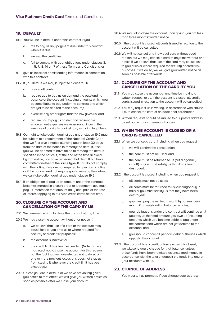# 19. DEFAULT

- 19.1 You will be in default under this contract if you:
	- a. fail to pay us any payment due under this contract when it is due;
	- b. exceed the credit limit;
	- c. fail to comply with your obligations under clauses 3, 4, 5, 7, 13, 14 or 17 of these Terms and Conditions; or
- d. give us incorrect or misleading information in connection with this contract.
- 19.2 If you default we may (subject to clause 19.3):
	- a. cancel all cards;
	- b. require you to pay us on demand the outstanding balance of the account (including amounts which you become liable to pay under the contract and which are yet to be debited to the account);
	- c. exercise any other rights that the law gives us; and
	- d. require you to pay us on demand reasonable enforcement expenses we reasonably incur in the exercise of our rights against you, including legal fees.
- 19.3 Our right to take action against you under clause 19.2 may be subject to a requirement of the National Credit Code that we first give a notice allowing you at least 30 days from the date of the notice to remedy the default. If so, you will be deemed to have failed to remedy the default specified in the notice if, at the end of the time allowed by that notice, you have remedied that default but have committed another of the same type. If you do not comply with the notice, if we are not required to give you a notice, or if the notice need not require you to remedy the default, we can take action against you under clause 19.2.
- 19.4 If an obligation to pay us an amount under the contract becomes merged in a court order or judgement, you must pay us interest on that amount daily until paid at the rate of interest applying to our Visa credit cards at that time.

# 20. CLOSURE OF THE ACCOUNT AND CANCELLATION OF THE CARD BY US

- 20.1 We reserve the right to close the account at any time.
- 20.2 We may close the account without prior notice if:
	- a. we believe that use of a card or the account may cause loss to you or to us or where required for security or credit risk purposes;
	- b. the account is inactive; or
	- c. the credit limit has been exceeded. (Note that we may elect not to close the account for this reason but the fact that we have elected not to do so on one or more previous occasions does not stop us from closing it whenever the credit limit has been exceeded.)
- 20.3 Unless you are in default or we have previously given you notice to that effect, we will give you written notice as soon as possible after we close your account.
- 20.4 We may also close the account upon giving you not less than three months' written notice.
- 20.5 If the account is closed, all cards issued in relation to the account will be cancelled.
- 20.6 We will not cancel any individual card without good reason but we may cancel a card at any time without prior notice if we believe that use of the card may cause loss to you or us or where required for security or credit risk purposes. If we do so, we will give you written notice as soon as possible afterwards.

# 21. CLOSURE OF THE ACCOUNT AND CANCELLATION OF THE CARD BY YOU

- 21.1 You may close the account at any time by making a written request to us. If the account is closed, all credit cards issued in relation to the account will be cancelled.
- 21.2 You may request us in writing, in accordance with clause 4.5, to cancel the card of an additional cardholder.
- 21.3 Written requests should be mailed to our postal address as set out in your statement of account.

# 22. WHEN THE ACCOUNT IS CLOSED OR A CARD IS CANCELLED

- 22.1 When we cancel a card, including when you request it:
	- a. we will confirm the cancellation;
	- b. the card must not be used; and
	- c. the card must be returned to us (cut diagonally in half) or you must satisfy us that it has been destroyed.

22.2 If the account is closed, including when you request it:

- a. all cards must not be used;
- b. all cards must be returned to us (cut diagonally in half) or you must satisfy us that they have been destroyed;
- c. you must pay the minimum monthly payment each month if an outstanding balance remains;
- d. your obligations under the contract will continue until you pay us the total amount you owe us (including amounts which you become liable to pay under the contract and which are not yet debited to the account); and
- e. you should cancel all periodic debit authorities which apply to the account.
- 22.3 If the account has a credit balance when it is closed, we will send you a cheque for that balance (unless those funds have been remitted as unclaimed moneu in accordance with the law) or deposit the funds into any of your accounts with us.

# 23. CHANGE OF ADDRESS

You must tell us promptly if you change your address.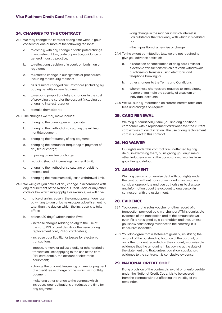# 24. CHANGES TO THE CONTRACT

- 24.1 We may change the contract at any time without your consent for one or more of the following reasons:
	- a. to comply with any change or anticipated change in any relevant law, code of practice, guidance or general industry practice;
	- b. to reflect any decision of a court, ombudsman or regulator;
	- c. to reflect a change in our systems or procedures, including for security reasons;
	- d. as a result of changed circumstances (including by adding benefits or new features);
	- e. to respond proportionately to changes in the cost of providing the card or the account (including by changing interest rates); or
	- f. to make them clearer.

24.2 The changes we may make include:

- a. changing the annual percentage rate;
- b. changing the method of calculating the minimum monthly payment;
- c. changing the frequency of any payment;
- d. changing the amount or frequency of payment of any fee or charge;
- e. imposing a new fee or charge;
- f. reducing (but not increasing) the credit limit;
- g. changing the method of calculating or debiting interest; and
- h. changing the maximum daily cash withdrawal limit.
- 24.3 We will give you notice of any change in accordance with any requirement of the National Credit Code or any other code or law which may apply. For example, we will give:
	- a. notice of an increase in the annual percentage rate by writing to you or by newspaper advertisement no later than the day on which the increase is to take effect;
	- b. at least 20 days' written notice if we:
		- increase charges relating solely to the use of the card, PIN or card details or the issue of any replacement card, PIN or card details;
		- increase your liability for losses for electronic transactions;
		- impose, remove or adjust a daily or other periodic transaction limit applying to the use of the card, PIN, card details, the account or electronic equipment;
		- change the amount, frequency or time for payment of a credit fee or charge or the minimum monthly payment;
		- make any other change to the contract which increases your obligations or reduces the time for any payment;
- any change in the manner in which interest is calculated or the frequency with which it is debited; or
- the imposition of a new fee or charge.
- 24.4 To the extent permitted by law, we are not required to give you advance notice of:
	- a. a reduction or cancellation of daily card limits for electronic transactions which are cash withdrawals, purchases or transfers using electronic and telephone banking; or
	- b. other changes to the Terms and Conditions,
	- c. where these changes are required to immediately restore or maintain the security of a system or individual accounts.
- 24.5 We will supply information on current interest rates and fees and charges on request.

# 25. CARD RENEWAL

We may automatically issue you and any additional cardholder with a replacement card whenever the current card expires at our discretion. The use of any replacement card is subject to this contract.

# 26. NO WAIVER

 Our rights under this contract are unaffected by any delay in exercising them, by us giving you any time or other indulgence, or by the acceptance of monies from uou after you default.

# 27. ASSIGNMENT

 We may assign or otherwise deal with our rights under the contract without your consent and in any way we consider appropriate and you authorise us to disclose any information about the account to any person in connection with the assignment.

# 28. EVIDENCE

- 28.1 You agree that a sales voucher or other record of a transaction provided by a merchant or ATM is admissible evidence of the transaction and of the amount shown, even if it is not signed by a cardholder, and that, unless you show satisfactory evidence to the contrary, it is conclusive evidence.
- 28.2 You also agree that a statement given by us stating the amount of the outstanding balance of the account, or any other amount recorded on the account, is admissible evidence that the amount is in fact owing at the date of the statement and that, unless you show satisfactory evidence to the contraru, it is conclusive evidence.

# 29. NATIONAL CREDIT CODE

 If any provision of the contract is invalid or unenforceable under the National Credit Code, it is to be severed from the contract without affecting the validity of the remainder.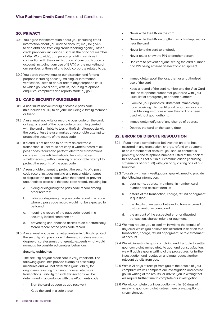# 30. PRIVACY

- 30.1 You agree that information about you (including credit information about you and the account) may be given to and obtained from any credit reporting agency, other credit providers (including Cuscal as the principal member of Visa Worldwide), any person providing services in connection with the administration of your application or account (including your use of BPAY) or the marketing of our services or those of any body corporate related to us.
- 30.2 You agree that we may, at our discretion and for any purpose including security, training, or information verification, listen to and/or record any telephone calls to which you are a party with us, including telephone enquiries, complaints and reports made by you.

# 31. CARD SECURITY GUIDELINES

- 31.1 A user must not voluntarily disclose a pass code (this includes a PIN) to anyone, including a family member or friend.
- 31.2 A user must not write or record a pass code on the card, or keep a record of the pass code on anything carried with the card or liable to loss or theft simultaneously with the card, unless the user makes a reasonable attempt to protect the securitu of the pass code.
- 31.3 If a card is not needed to perform an electronic transaction, a user must not keep a written record of all pass codes required to perform electronic transactions on one or more articles liable to be lost or stolen simultaneously, without making a reasonable attempt to protect the security of the pass code.
- 31.4 A reasonable attempt to protect the security of a pass code record includes making any reasonable attempt to disguise the pass code within the record, or prevent unauthorised access to the pass code record, including by:
	- a. hiding or disguising the pass code record among other records;
	- b. hiding or disguising the pass code record in a place where a pass code record would not be expected to be found;
	- c. keeping a record of the pass code record in a securely locked container; or
	- d. preventing unauthorised access to an electronically stored record of the pass code record.
- 31.5 A user must not be extremely careless in failing to protect the security of a pass code. Extremely careless means a degree of carelessness that greatly exceeds what would normally be considered careless behaviour.

#### **Security guidelines**

 The security of your credit card is very important. The following guidelines provide examples of security measures and will not determine your liability for any losses resulting from unauthorised electronic transactions. Liability for such transactions will be determined in accordance with the ePayments code.

- Sign the card as soon as you receive it
- Keep the card in a safe place
- Never write the PIN on the card
- Never write the PIN on anything which is kept with or near the card
- Never lend the card to anybody
- Never tell or show the PIN to another person
- Use care to prevent anyone seeing the card number and PIN being entered at electronic equipment
- Immediately report the loss, theft or unauthorised use of the card
- Keep a record of the card number and the Visa Card Hotline telephone number for your area with your usual list of emergency telephone numbers
- Examine your periodical statement immediately upon receiving it to identify and report, as soon as possible, any instances where the card has been used without your authority
- Immediately notify us of any change of address
- Destroy the card on the expiry date

# 32. ERROR OR DISPUTE RESOLUTION

- 32.1 If you have a complaint or believe that an error has occurred in any transaction, charge, refund or payment or on a statement of account, you should contact us promptly on the telephone numbers listed at the back of this booklet, as set out in our communication (including statements of account) with you or by visiting one of our branches.
- 32.2 To assist with our investigations, you will need to provide the following information:
	- a. your name, address, membership number, card number and account details;
	- b. details of the transaction, charge, refund or payment in question;
	- c. the details of any error believed to have occurred on a statement of account; and
	- d. the amount of the suspected error or disputed transaction, charge, refund or payment.
- 32.3 We may require you to confirm in writing the details of any error which you believe has occurred in relation to a transaction, charge, refund or payment, or to a statement of account.
- 32.4 We will investigate your complaint, and if unable to settle uour complaint immediately to your and our satisfaction, we will advise you in writing of the procedures for further investigation and resolution and may request further relevant details from you.
- 32.5 Within 21 days of receipt from you of the details of your complaint we will complete our investigation and advise you in writing of the results, or advise you in writing that we require further time to complete our investigation.
- 32.6 We will complete our investigation within 30 days of receiving your complaint, unless there are exceptional circumstances.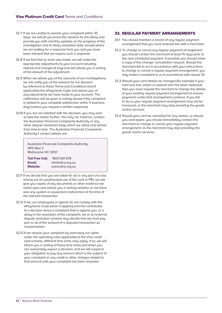- 32.7 If we are unable to resolve your complaint within 30 days, we will let you know the reasons for the delay and provide you with monthly updates on the progress of the investigation and its likely resolution date, except where we are waiting for a response from you and you have been advised that we require such a response.
- 32.8 If we find that an error was made, we will make the appropriate adjustments to your account including interest and charges (if any) and will advise you in writing of the amount of the adjustment.
- 32.9 When we advise you of the outcome of our investigations, we will notify you of the reasons for our decision by reference to these Terms and Conditions and (if applicable) the ePayments Code and advise you of any adjustments we have made to your account. The notification will be given in writing except if the complaint is settled to your complete satisfaction within 5 business days (unless you request a written response).
- 32.10 If you are not satisfied with the decision, you may wish to take the matter further. You may, for instance, contact the Australian Financial Complaints Authority or any other dispute resolution body which we utilise and advise from time to time. The Australian Financial Complaints Authority's contact details are:

| Australian Financial Complaints Authority<br>GPO Box 3<br>Melbourne VIC 3001 |                  |
|------------------------------------------------------------------------------|------------------|
| <b>Toll Free Call:</b>                                                       | 1800 931 678     |
| Email:                                                                       | info@afca.org.au |
| <b>Website:</b>                                                              | www.afca.org.au  |

- 32.11 If we decide that you are liable for all or any part of a loss arising out of unauthorised use of the card or PIN, we will give you copies of any documents or other evidence we relied upon and advise you in writing whether or not there was any system or equipment malfunction at the time of the relevant transaction.
- 32.12 If we, our employees or agents do not comply with the ePayments Code (when it applies) and this contributes to a decision about a complaint that is against you, or a delay in the resolution of the complaint, we or an external dispute resolution scheme may decide that we must pay part or all of the amount of a disputed transaction as compensation.
- 32.13 If we resolve your complaint by exercising our rights under the operating rules applicable to the Visa credit card scheme, different time limits may apply. If so, we will inform you in writing of those time limits and when you can reasonably expect a decision, and we will suspend your obligation to pay any amount which is the subject of your complaint or any credit or other charges related to that amount until your complaint has been resolved.

# 33. REGULAR PAYMENT ARRANGEMENTS

- 33.1 You should maintain a record of any regular payment arrangement that you have entered into with a merchant.
- 33.2 To change or cancel any regular payment arrangement you should contact the merchant at least 15 days prior to the next scheduled payment. If possible you should retain a copy of this change/ cancellation request. Should the merchant fail to act in accordance with your instructions to change or cancel a regular payment arrangement, you may make a complaint to us in accordance with clause 33.
- 33.3 Should your card details be changed (for example if your card was lost, stolen or expired and has been replaced) then you must request the merchant to change the details of your existing regular payment arrangement to ensure payments under that arrangement continue. If you fail to do so your regular payment arrangement may not be honoured, or the merchant may stop providing the goods and/or services.
- 33.4 Should your card be cancelled for any reason, or should you card expire, you should immediately contact the merchant to change or cancel your regular payment arrangement, as the merchant may stop providing the goods and/or services.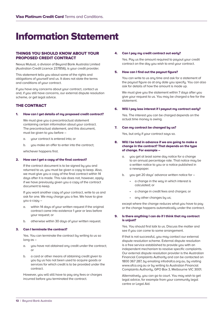# Information Statement

# THINGS YOU SHOULD KNOW ABOUT YOUR PROPOSED CREDIT CONTRACT

Nexus Mutual, a division of Beyond Bank Australia Limited (Australian Credit Licence 237856), is your credit provider.

This statement tells you about some of the rights and obligations of yourself and us. It does not state the terms and conditions of your contract.

If you have any concerns about your contract, contact us and, if you still have concerns, our external dispute resolution scheme, or get legal advice.

# THE CONTRACT

#### 1. How can I get details of my proposed credit contract?

 We must give you a precontractual statement containing certain information about your contract. The precontractual statement, and this document, must be given to you before -

- a. your contract is entered into; or
- b. you make an offer to enter into the contract:

whichever happens first.

#### 2. How can I get a copy of the final contract?

If the contract document is to be signed by you and returned to us, you must be given a copy to keep. Also, we must give you a copy of the final contract within 14 days after it is made. This rule does not, however, apply if we have previously given you a copy of the contract document to keep.

If you want another copy of your contract, write to us and ask for one. We may charge you a fee. We have to give you a copy –

- a. within 14 days of your written request if the original contract came into existence 1 year or less before your request; or
- b. otherwise within 30 days of your written request.

#### 3. Can I terminate the contract?

 Yes. You can terminate the contract by writing to us so long as –

- a. you have not obtained any credit under the contract; or
- b. a card or other means of obtaining credit given to you by us has not been used to acquire goods or services for which credit is to be provided under the contract.

 However, you will still have to pay any fees or charges incurred before you terminated the contract.

#### 4. Can I pay my credit contract out early?

Yes. Pay us the amount required to payout your credit contract on the day you wish to end your contract.

#### 5. How can I find out the payout figure?

You can write to us any time and ask for a statement of the payout figure as at any date you specify. You can also ask for details of how the amount is made up.

We must give you the statement within 7 days after you give your request to us. You may be charged a fee for the statement.

#### 6. Will I pay less interest if I payout my contract early?

 Yes. The interest you can be charged depends on the actual time money is owing.

#### 7. Can my contract be changed by us?

Yes, but only if your contract says so.

- 8. Will I be told in advance if we are going to make a change in the contract? That depends on the tupe of change. For example –
	- a. you get at least same day notice for a change to an annual percentage rate. That notice may be a written notice to you or a notice published in a newspaper.
	- b. you get 20 days' advance written notice for -
		- a change in the way in which interest is calculated; or
		- a change in credit fees and charges; or
		- any other changes by us;

except where the change reduces what you have to pay or the change happens automatically under the contract.

#### 9. Is there anything I can do if I think that my contract is uniust?

Yes. You should first talk to us. Discuss the matter and see if you can come to some arrangement.

If that is not successful, you may contact our external dispute resolution scheme. External dispute resolution is a free service established to provide you with an independent mechanism to resolve specific complaints. Our external dispute resolution provider is the Australian Financial Complaints Authority and can be contacted on 1800 367 287, by emailing info@afca.org.au, by visiting www.afca.org.au or by writing to Australian Financial Complaints Authority, GPO Box 3, Melbourne VIC 3001.

Alternatively, you can go to court. You may wish to get legal advice, for example from your community legal centre or Legal Aid.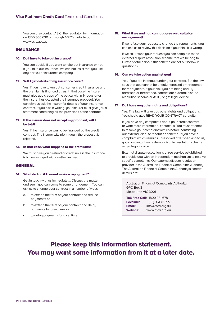You can also contact ASIC, the regulator, for information on 1300 300 630 or through ASIC's website at www.asic.gov.au.

# **INSURANCE**

#### 10. Do I have to take out insurance?

You can decide if you want to take out insurance or not. If you take out insurance, we can not insist that you use any particular insurance company.

#### 11. Will I get details of mu insurance cover?

Yes, if you have taken out consumer credit insurance and the premium is financed by us. In that case the insurer must give you a copy of the policy within 14 days after the insurer has accepted the insurance proposal. You can always ask the insurer for details of your insurance contract. If you ask in writing, your insurer must give you a statement containing all the provisions of the contract.

#### 12. If the insurer does not accept my proposal, will I be told?

Yes, if the insurance was to be financed bu the credit contract. The insurer will inform you if the proposal is rejected.

#### 13. In that case, what happens to the premiums?

We must give you a refund or credit unless the insurance is to be arranged with another insurer.

# **GENERAL**

#### 14. What do I do if I cannot make a repayment?

Get in touch with us immediately. Discuss the matter and see if you can come to some arrangement. You can ask us to change your contract in a number of ways –

- a. to extend the term of your contract and reduce payments; or
- b. to extend the term of your contract and delay payments for a set time; or
- c. to delay payments for a set time.

#### 15. What if we and you cannot agree on a suitable arrangement?

If we refuse your request to change the repayments, you can ask us to review this decision if you think it is wrong.

If we still refuse your request you can complain to the external dispute resolution scheme that we belong to. Further details about this scheme are set out below in question 17.

#### 16. Can we take action against you?

Yes, if you are in default under your contract. But the law says that you cannot be unduly harassed or threatened for repayments. If you think you are being unduly harassed or threatened, contact our external dispute resolution scheme or ASIC, or get legal advice.

#### 17. Do I have any other rights and obligations?

Yes. The law will give you other rights and obligations. You should also READ YOUR CONTRACT carefully.

If you have any complaints about your credit contract, or want more information, contact us. You must attempt to resolve your complaint with us before contacting our external dispute resolution scheme. If you have a complaint which remains unresolved after speaking to us, you can contact our external dispute resolution scheme or get legal advice.

External dispute resolution is a free service established to provide you with an independent mechanism to resolve specific complaints. Our external dispute resolution provider is the Australian Financial Complaints Authority. The Australian Financial Complaints Authority's contact details are:

Australian Financial Complaints Authority GPO Box 3 Melbourne VIC 3001

**Toll Free Call**: 1800 931 678 **Facsimile:** (03) 9613 6399 **Email:** info@afca.org.au **Website:** www.afca.org.au

# Please keep this information statement. You may want some information from it at a later date.